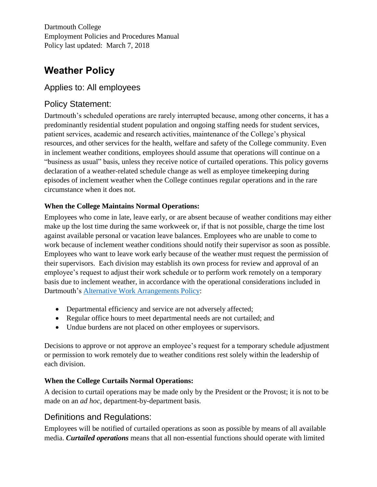Dartmouth College Employment Policies and Procedures Manual Policy last updated: March 7, 2018

# **Weather Policy**

## Applies to: All employees

## Policy Statement:

Dartmouth's scheduled operations are rarely interrupted because, among other concerns, it has a predominantly residential student population and ongoing staffing needs for student services, patient services, academic and research activities, maintenance of the College's physical resources, and other services for the health, welfare and safety of the College community. Even in inclement weather conditions, employees should assume that operations will continue on a "business as usual" basis, unless they receive notice of curtailed operations. This policy governs declaration of a weather-related schedule change as well as employee timekeeping during episodes of inclement weather when the College continues regular operations and in the rare circumstance when it does not.

#### **When the College Maintains Normal Operations:**

Employees who come in late, leave early, or are absent because of weather conditions may either make up the lost time during the same workweek or, if that is not possible, charge the time lost against available personal or vacation leave balances. Employees who are unable to come to work because of inclement weather conditions should notify their supervisor as soon as possible. Employees who want to leave work early because of the weather must request the permission of their supervisors. Each division may establish its own process for review and approval of an employee's request to adjust their work schedule or to perform work remotely on a temporary basis due to inclement weather, in accordance with the operational considerations included in Dartmouth's [Alternative Work Arrangements Policy:](http://www.dartmouth.edu/~hrs/pdfs/alternative_work_arrangements.pdf)

- Departmental efficiency and service are not adversely affected;
- Regular office hours to meet departmental needs are not curtailed; and
- Undue burdens are not placed on other employees or supervisors.

Decisions to approve or not approve an employee's request for a temporary schedule adjustment or permission to work remotely due to weather conditions rest solely within the leadership of each division.

### **When the College Curtails Normal Operations:**

A decision to curtail operations may be made only by the President or the Provost; it is not to be made on an *ad hoc*, department-by-department basis.

## Definitions and Regulations:

Employees will be notified of curtailed operations as soon as possible by means of all available media. *Curtailed operations* means that all non-essential functions should operate with limited